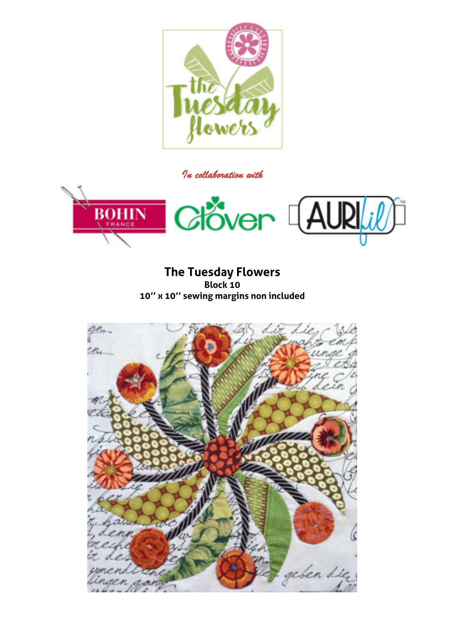

*In collaboration with* 



**The Tuesday Flowers Block 10 10'' x 10'' sewing margins non included** 

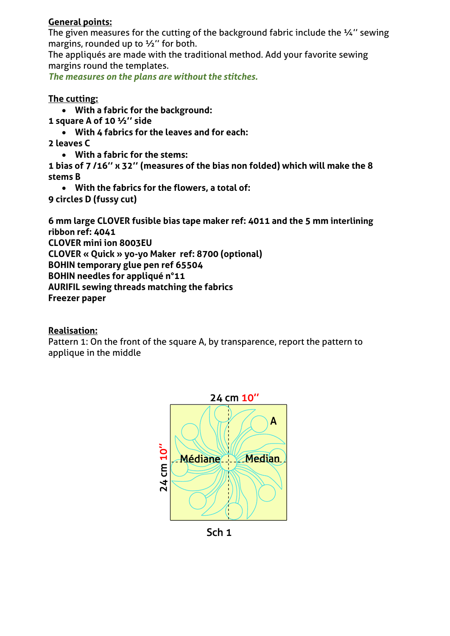## **General points:**

The given measures for the cutting of the background fabric include the ¼" sewing margins, rounded up to  $\frac{1}{2}$ " for both.

The appliqués are made with the traditional method. Add your favorite sewing margins round the templates.

*The measures on the plans are without the stitches.* 

## **The cutting:**

- **With a fabric for the background:**
- **1 square A of 10 ½'' side** 
	- **With 4 fabrics for the leaves and for each:**
- **2 leaves C** 
	- **With a fabric for the stems:**

**1 bias of 7 /16'' x 32'' (measures of the bias non folded) which will make the 8 stems B** 

**With the fabrics for the flowers, a total of:** 

**9 circles D (fussy cut)** 

**6 mm large CLOVER fusible bias tape maker ref: 4011 and the 5 mm interlining ribbon ref: 4041** 

**CLOVER mini ion 8003EU** 

**CLOVER « Quick » yo-yo Maker ref: 8700 (optional)** 

**BOHIN temporary glue pen ref 65504** 

**BOHIN needles for appliqué n°11** 

**AURIFIL sewing threads matching the fabrics** 

**Freezer paper** 

## **Realisation:**

Pattern 1: On the front of the square A, by transparence, report the pattern to applique in the middle



Sch<sub>1</sub>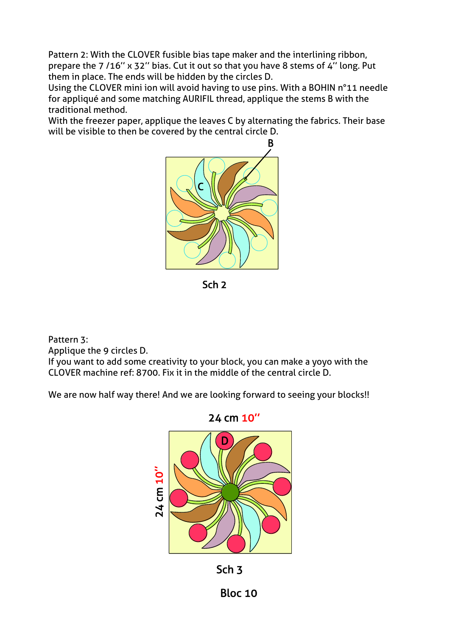Pattern 2: With the CLOVER fusible bias tape maker and the interlining ribbon, prepare the 7 /16'' x 32'' bias. Cut it out so that you have 8 stems of 4'' long. Put them in place. The ends will be hidden by the circles D.

Using the CLOVER mini ion will avoid having to use pins. With a BOHIN n°11 needle for appliqué and some matching AURIFIL thread, applique the stems B with the traditional method.

With the freezer paper, applique the leaves C by alternating the fabrics. Their base will be visible to then be covered by the central circle D.



Sch<sub>2</sub>

Pattern 3: Applique the 9 circles D.

If you want to add some creativity to your block, you can make a yoyo with the CLOVER machine ref: 8700. Fix it in the middle of the central circle D.

We are now half way there! And we are looking forward to seeing your blocks!!





**Bloc 10**